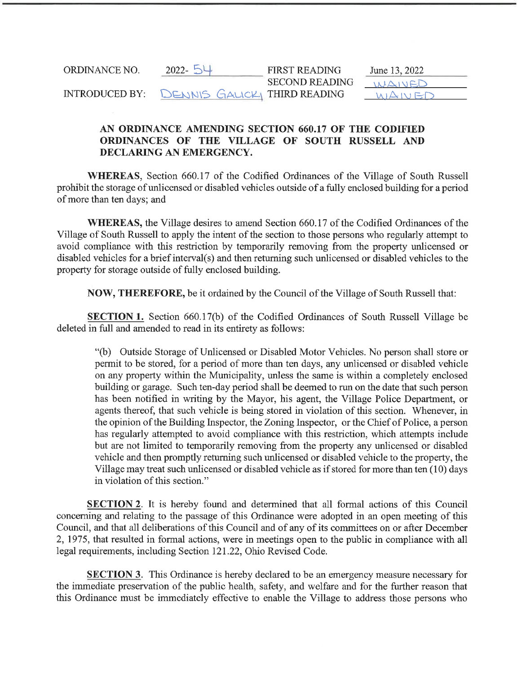| ORDINANCE NO.         | 2022-                        | <b>FIRST READING</b>  | June 13, 2022         |
|-----------------------|------------------------------|-----------------------|-----------------------|
|                       |                              | <b>SECOND READING</b> | <i><b>INAINED</b></i> |
| <b>INTRODUCED BY:</b> | DENNIS GALICKY THIRD READING |                       |                       |

## AN ORDINANCE AMENDING SECTION 660. 17 OF THE CODIFIED ORDINANCES OF THE VILLAGE OF SOUTH RUSSELL AND DECLARING AN EMERGENCY.

WHEREAS, Section 660.17 of the Codified Ordinances of the Village of South Russell prohibit the storage of unlicensed or disabled vehicles outside of a fully enclosed building for a period of more than ten days; and

WHEREAS, the Village desires to amend Section 660. 17 of the Codified Ordinances of the Village of South Russell to apply the intent of the section to those persons who regularly attempt to avoid compliance with this restriction by temporarily removing from the property unlicensed or disabled vehicles for a brief interval(s) and then returning such unlicensed or disabled vehicles to the property for storage outside of fully enclosed building.

NOW, THEREFORE, be it ordained by the Council of the Village of South Russell that:

SECTION 1. Section 660.17(b) of the Codified Ordinances of South Russell Village be deleted in full and amended to read in its entirety as follows:

"(b) Outside Storage of Unlicensed or Disabled Motor Vehicles. No person shall store or permit to be stored, for a period of more than ten days, any unlicensed or disabled vehicle on any property within the Municipality, unless the same is within a completely enclosed building or garage. Such ten-day period shall be deemed to run on the date that such person has been notified in writing by the Mayor, his agent, the Village Police Department, or agents thereof, that such vehicle is being stored in violation of this section. Whenever, in the opinion of the Building Inspector, the Zoning Inspector, or the Chief of Police, a person has regularly attempted to avoid compliance with this restriction, which attempts include but are not limited to temporarily removing from the property any unlicensed or disabled vehicle and then promptly returning such unlicensed or disabled vehicle to the property, the Village may treat such unlicensed or disabled vehicle as if stored for more than ten (10) days in violation of this section."

**SECTION 2.** It is hereby found and determined that all formal actions of this Council concerning and relating to the passage of this Ordinance were adopted in an open meeting of this Council, and that all deliberations of this Council and of any of its committees on or after December 2, 1975, that resulted in formal actions, were in meetings open to the public in compliance with all legal requirements, including Section 121.22, Ohio Revised Code.

**SECTION 3.** This Ordinance is hereby declared to be an emergency measure necessary for the immediate preservation of the public health, safety, and welfare and for the further reason that this Ordinance must be immediately effective to enable the Village to address those persons who